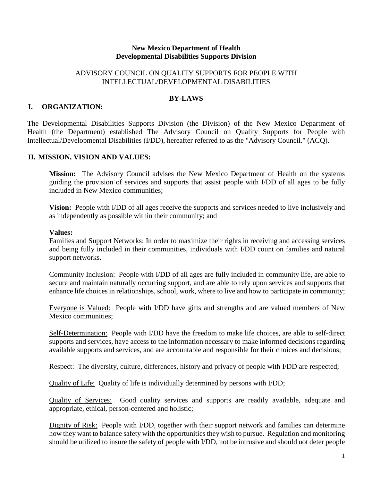#### **New Mexico Department of Health Developmental Disabilities Supports Division**

### ADVISORY COUNCIL ON QUALITY SUPPORTS FOR PEOPLE WITH INTELLECTUAL/DEVELOPMENTAL DISABILITIES

#### **BY-LAWS**

### **I. ORGANIZATION:**

The Developmental Disabilities Supports Division (the Division) of the New Mexico Department of Health (the Department) established The Advisory Council on Quality Supports for People with Intellectual/Developmental Disabilities (I/DD), hereafter referred to as the "Advisory Council." (ACQ).

#### **II. MISSION, VISION AND VALUES:**

**Mission:** The Advisory Council advises the New Mexico Department of Health on the systems guiding the provision of services and supports that assist people with I/DD of all ages to be fully included in New Mexico communities;

**Vision:** People with I/DD of all ages receive the supports and services needed to live inclusively and as independently as possible within their community; and

#### **Values:**

Families and Support Networks: In order to maximize their rights in receiving and accessing services and being fully included in their communities, individuals with I/DD count on families and natural support networks.

Community Inclusion: People with I/DD of all ages are fully included in community life, are able to secure and maintain naturally occurring support, and are able to rely upon services and supports that enhance life choices in relationships, school, work, where to live and how to participate in community;

Everyone is Valued: People with I/DD have gifts and strengths and are valued members of New Mexico communities;

Self-Determination: People with I/DD have the freedom to make life choices, are able to self-direct supports and services, have access to the information necessary to make informed decisions regarding available supports and services, and are accountable and responsible for their choices and decisions;

Respect: The diversity, culture, differences, history and privacy of people with I/DD are respected;

Quality of Life: Quality of life is individually determined by persons with I/DD;

Quality of Services: Good quality services and supports are readily available, adequate and appropriate, ethical, person-centered and holistic;

Dignity of Risk: People with I/DD, together with their support network and families can determine how they want to balance safety with the opportunities they wish to pursue. Regulation and monitoring should be utilized to insure the safety of people with I/DD, not be intrusive and should not deter people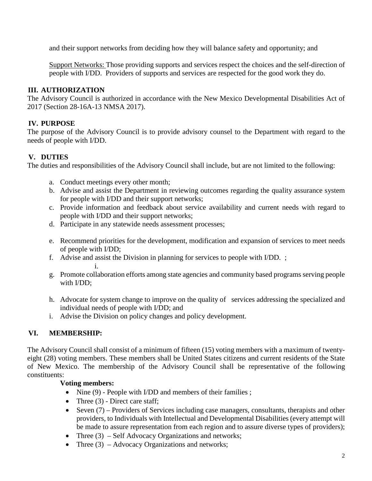and their support networks from deciding how they will balance safety and opportunity; and

Support Networks: Those providing supports and services respect the choices and the self-direction of people with I/DD. Providers of supports and services are respected for the good work they do.

### **III. AUTHORIZATION**

The Advisory Council is authorized in accordance with the New Mexico Developmental Disabilities Act of 2017 (Section 28-16A-13 NMSA 2017).

### **IV. PURPOSE**

The purpose of the Advisory Council is to provide advisory counsel to the Department with regard to the needs of people with I/DD.

# **V. DUTIES**

The duties and responsibilities of the Advisory Council shall include, but are not limited to the following:

- a. Conduct meetings every other month;
- b. Advise and assist the Department in reviewing outcomes regarding the quality assurance system for people with I/DD and their support networks;
- c. Provide information and feedback about service availability and current needs with regard to people with I/DD and their support networks;
- d. Participate in any statewide needs assessment processes;
- e. Recommend priorities for the development, modification and expansion of services to meet needs of people with I/DD;
- f. Advise and assist the Division in planning for services to people with I/DD. ; i.
- g. Promote collaboration efforts among state agencies and community based programs serving people with I/DD;
- h. Advocate for system change to improve on the quality of services addressing the specialized and individual needs of people with I/DD; and
- i. Advise the Division on policy changes and policy development.

# **VI. MEMBERSHIP:**

The Advisory Council shall consist of a minimum of fifteen (15) voting members with a maximum of twentyeight (28) voting members. These members shall be United States citizens and current residents of the State of New Mexico. The membership of the Advisory Council shall be representative of the following constituents:

### **Voting members:**

- Nine (9) People with I/DD and members of their families;
- Three  $(3)$  Direct care staff;
- Seven (7) Providers of Services including case managers, consultants, therapists and other providers, to Individuals with Intellectual and Developmental Disabilities (every attempt will be made to assure representation from each region and to assure diverse types of providers);
- Three (3) Self Advocacy Organizations and networks;
- Three  $(3)$  Advocacy Organizations and networks;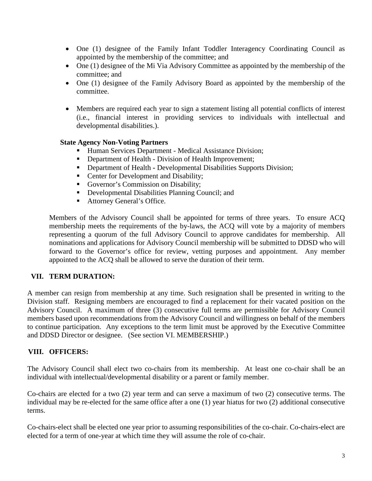- One (1) designee of the Family Infant Toddler Interagency Coordinating Council as appointed by the membership of the committee; and
- One (1) designee of the Mi Via Advisory Committee as appointed by the membership of the committee; and
- One (1) designee of the Family Advisory Board as appointed by the membership of the committee.
- Members are required each year to sign a statement listing all potential conflicts of interest (i.e., financial interest in providing services to individuals with intellectual and developmental disabilities.).

### **State Agency Non-Voting Partners**

- Human Services Department Medical Assistance Division;
- Department of Health Division of Health Improvement;
- Department of Health **-** Developmental Disabilities Supports Division;
- Center for Development and Disability;
- Governor's Commission on Disability;
- Developmental Disabilities Planning Council; and
- Attorney General's Office.

Members of the Advisory Council shall be appointed for terms of three years. To ensure ACQ membership meets the requirements of the by-laws, the ACQ will vote by a majority of members representing a quorum of the full Advisory Council to approve candidates for membership. All nominations and applications for Advisory Council membership will be submitted to DDSD who will forward to the Governor's office for review, vetting purposes and appointment. Any member appointed to the ACQ shall be allowed to serve the duration of their term.

### **VII. TERM DURATION:**

A member can resign from membership at any time. Such resignation shall be presented in writing to the Division staff. Resigning members are encouraged to find a replacement for their vacated position on the Advisory Council. A maximum of three (3) consecutive full terms are permissible for Advisory Council members based upon recommendations from the Advisory Council and willingness on behalf of the members to continue participation. Any exceptions to the term limit must be approved by the Executive Committee and DDSD Director or designee. (See section VI. MEMBERSHIP.)

### **VIII. OFFICERS:**

The Advisory Council shall elect two co-chairs from its membership. At least one co-chair shall be an individual with intellectual/developmental disability or a parent or family member.

Co-chairs are elected for a two (2) year term and can serve a maximum of two (2) consecutive terms. The individual may be re-elected for the same office after a one (1) year hiatus for two (2) additional consecutive terms.

Co-chairs-elect shall be elected one year prior to assuming responsibilities of the co-chair. Co-chairs-elect are elected for a term of one-year at which time they will assume the role of co-chair.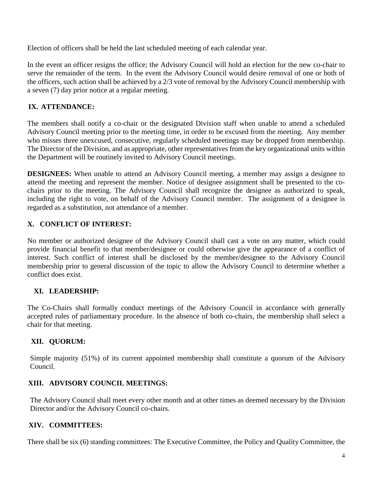Election of officers shall be held the last scheduled meeting of each calendar year.

In the event an officer resigns the office; the Advisory Council will hold an election for the new co-chair to serve the remainder of the term. In the event the Advisory Council would desire removal of one or both of the officers, such action shall be achieved by a 2/3 vote of removal by the Advisory Council membership with a seven (7) day prior notice at a regular meeting.

# **IX. ATTENDANCE:**

The members shall notify a co-chair or the designated Division staff when unable to attend a scheduled Advisory Council meeting prior to the meeting time, in order to be excused from the meeting. Any member who misses three unexcused, consecutive, regularly scheduled meetings may be dropped from membership. The Director of the Division, and as appropriate, other representatives from the key organizational units within the Department will be routinely invited to Advisory Council meetings.

**DESIGNEES:** When unable to attend an Advisory Council meeting, a member may assign a designee to attend the meeting and represent the member. Notice of designee assignment shall be presented to the cochairs prior to the meeting. The Advisory Council shall recognize the designee as authorized to speak, including the right to vote, on behalf of the Advisory Council member. The assignment of a designee is regarded as a substitution, not attendance of a member.

# **X. CONFLICT OF INTEREST:**

No member or authorized designee of the Advisory Council shall cast a vote on any matter, which could provide financial benefit to that member/designee or could otherwise give the appearance of a conflict of interest. Such conflict of interest shall be disclosed by the member/designee to the Advisory Council membership prior to general discussion of the topic to allow the Advisory Council to determine whether a conflict does exist.

# **XI. LEADERSHIP:**

The Co-Chairs shall formally conduct meetings of the Advisory Council in accordance with generally accepted rules of parliamentary procedure. In the absence of both co-chairs, the membership shall select a chair for that meeting.

# **XII. QUORUM:**

Simple majority (51%) of its current appointed membership shall constitute a quorum of the Advisory Council.

# **XIII. ADVISORY COUNCIL MEETINGS:**

The Advisory Council shall meet every other month and at other times as deemed necessary by the Division Director and/or the Advisory Council co-chairs.

# **XIV. COMMITTEES:**

There shall be six (6) standing committees: The Executive Committee, the Policy and Quality Committee, the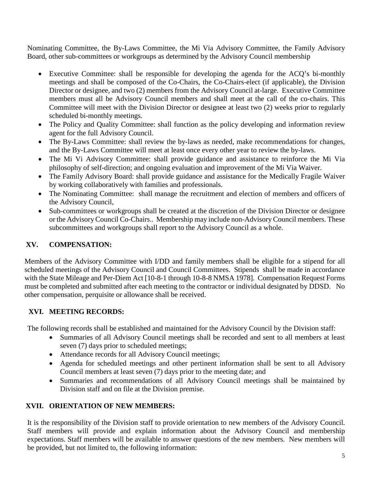Nominating Committee, the By-Laws Committee, the Mi Via Advisory Committee, the Family Advisory Board, other sub-committees or workgroups as determined by the Advisory Council membership

- Executive Committee: shall be responsible for developing the agenda for the ACQ's bi-monthly meetings and shall be composed of the Co-Chairs, the Co-Chairs-elect (if applicable), the Division Director or designee, and two (2) members from the Advisory Council at-large. Executive Committee members must all be Advisory Council members and shall meet at the call of the co-chairs. This Committee will meet with the Division Director or designee at least two (2) weeks prior to regularly scheduled bi-monthly meetings.
- The Policy and Quality Committee: shall function as the policy developing and information review agent for the full Advisory Council.
- The By-Laws Committee: shall review the by-laws as needed, make recommendations for changes, and the By-Laws Committee will meet at least once every other year to review the by-laws.
- The Mi Vi Advisory Committee: shall provide guidance and assistance to reinforce the Mi Via philosophy of self-direction; and ongoing evaluation and improvement of the Mi Via Waiver.
- The Family Advisory Board: shall provide guidance and assistance for the Medically Fragile Waiver by working collaboratively with families and professionals.
- The Nominating Committee: shall manage the recruitment and election of members and officers of the Advisory Council,
- Sub-committees or workgroups shall be created at the discretion of the Division Director or designee or the Advisory Council Co-Chairs.. Membership may include non-Advisory Council members. These subcommittees and workgroups shall report to the Advisory Council as a whole.

### **XV. COMPENSATION:**

Members of the Advisory Committee with I/DD and family members shall be eligible for a stipend for all scheduled meetings of the Advisory Council and Council Committees. Stipends shall be made in accordance with the State Mileage and Per-Diem Act [10-8-1 through 10-8-8 NMSA 1978]. Compensation Request Forms must be completed and submitted after each meeting to the contractor or individual designated by DDSD. No other compensation, perquisite or allowance shall be received.

# **XVI. MEETING RECORDS:**

The following records shall be established and maintained for the Advisory Council by the Division staff:

- Summaries of all Advisory Council meetings shall be recorded and sent to all members at least seven (7) days prior to scheduled meetings;
- Attendance records for all Advisory Council meetings;
- Agenda for scheduled meetings and other pertinent information shall be sent to all Advisory Council members at least seven (7) days prior to the meeting date; and
- Summaries and recommendations of all Advisory Council meetings shall be maintained by Division staff and on file at the Division premise.

# **XVII. ORIENTATION OF NEW MEMBERS:**

It is the responsibility of the Division staff to provide orientation to new members of the Advisory Council. Staff members will provide and explain information about the Advisory Council and membership expectations. Staff members will be available to answer questions of the new members. New members will be provided, but not limited to, the following information: